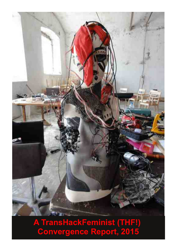

**A TransHackFeminist (THF!)**<br>Convergence Report, 2015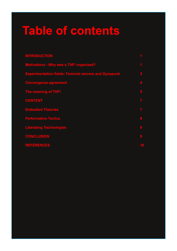## Table of contents

| <b>INTRODUCTION</b>                                          |                |
|--------------------------------------------------------------|----------------|
| <b>Motivations - Why was a THF! organized?</b>               | 1              |
| <b>Experimentation fields: Feminist servers and Gynepunk</b> | $\mathbf{2}$   |
| <b>Convergence agreement</b>                                 | 4              |
| The meaning of THF!                                          | $\overline{5}$ |
| <b>CONTENT</b>                                               | $\overline{7}$ |
| <b>Embodied Theories</b>                                     | $\overline{7}$ |
| <b>Performative Tactics</b>                                  | 8              |
| <b>Liberating Technologies</b>                               | $\overline{9}$ |
| <b>CONCLUSION</b>                                            | 9              |
| <b>REFERENCES</b>                                            | 10             |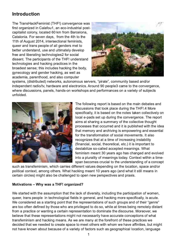+96 +C2?D 24< 6> :?:DE + 4@?G6C86?46 H2D 7:CDE@C82?:K65 :? 2=27@F 2? 64@:?5FDEC:2=A@DE  $42A:2E+DE4@2CJ +842E65$   $\leftrightarrow$   $702$   $2046=022$ 2E2=@?:2 @CD6G6? 52JD 7C@> E96 E9 E@E96 E9 @7 F8FDE :?E6CD64E:@?2=76> :?:DED BF66C2?5 E2?DA6@A\$ @72=86?56CD> 6EE@ 36EE6CF?56CDE2?5 FD6 2?5 F=> 2E6=J 56G6=@A 7C66 2?5 =:36C2E:?8 E649?@=@8:6[D](#page-12-0) 7@CD@4:2= 5:DD6?E +96 A2CE4:A2?ED@7E96 + F?56CDE2?5 E649?@@8:6D2?5 924<:?8 AC24E46D:? E96 3C@256DED6?D6 E9:D:?4=F56D924<:?8 E96 3@5J 8J?64@=@8J 2?5 86?56C924<:?8 2DH6=2D 24256> :2 A2C6?E9@@5 2?5 2=D@4@> AFE6C DJDE6> D 5:DEC:3FE65 ?6EH@C<D 2FE@?@> @FDD6CG6CD PA:C2E6Q4@> > F?:EJ 32D65 2?5 @C :?56A6?56?EC25:@EG 92C5H2C6 2?5 6=64EC@?:4D C@F?5 A6@A=6 42> 6 E@E96 4@?G6C86?46 H96C6 5:D4FDD:@?D A2?6=D 92?5D@? H@C<D9@AD2?5 A6C7@C> 2?46D@? 2 G2C:6EJ @7DF3;64ED F?7@=565

> +96 7@=@H:?8 C6A@CE:D32D65 @? E96 > 2:? 5632E6D2?5 5:D4FDD@?DE92EE@@<A=246 5FC:?8 E96 + \$ @C6 DA64:742=J :E:D32D65 @ B6 ?@E6DE2<6?4@=64EC6=J @? =@42=6 A25DD6EFA 5FC:?8 E96 4@?G6C86?46 +96 C6A@CE 2:> D2ED92C: 8 2 DF> > 2CJ @7B6 4 @64EG6 B @F89E AC@46DD6DE92E@44FCC65 2?5 :E:DAF3=D965 H:E9 E96 :562 E92E> 6> @CJ 2?5 2C49:G:?8 :D6> A@H6C:?8 2?5 6DD6?E:2= 7@CE96 EC2?D7@C> 2E:@? @7D@4:2=> @G6> 6?ED E2=D@ C64@8?:K6DE92E2E2 E> 6 @7:?4C62D?8 :?DE23:==EJ 7.?2?4:2= D@4:2= E96 @CGE42= 6E4 :E:D:> A@DE? EE@ 56DE23:  $\neq$ 6 D@42=65 2446AE65 > 62?:?8D . 92E  $76$   $\ge$   $\degree$ : D  $\ge$  62? E J62  $\textcircled{28}$  @92D492?865 2?5 6G @ G655 :?E@2 A=FQ==D  $@>62$ ?:?8DE $@>2J$  @?E6I EH:E9:? 2 E $>6$ DA2? 364@> 6D4CF4:2=E@E96 F?56CDE2?5:?8 @72 4@?46AE

DF49 2DE2?D76>:?:D> H9:49 42CC6D5:776C6?EG2 F6D56A6?5:?8 @? B96 =@42E@? DA246 2?5 @C A@E42=4@?E6I E 2> @?8 @B6\D. 92E924<:?8 > 62?E J62\D28@2?5 H92E:EDE=> 62?D:? 46CE2:? 4:C4=6D > :89E2=D@36 492=6?865 E@@A6? ?6H A6CDA64E:G6D2?5 AC2I :D

59; ' 9548 @# . > < ' 8 ' ! 57- ' 4/?+\*

. 6 DE2CE65 H:E9 E96 2DDF> AE:@? E92EE96 =24< @75:G6CD:EJ :?4=F5:?8 E96 A2CE:4:A2E:@? @7H@> 6? BF66CEC2?DA6@A=6 :? E649?@=@8:42=7:6=5D:? 86?6C2= 2?5 924<:?8 > @C6 DA64:7:42=J :D24FE6 . 6 4@?D:56C65 2D2 DE2CE:?8 A@:?EE92EE96 C6AC6D6?E2E:@?D@7DF49 8C@FAD2?5 @7E96:CP86?C6Q 2G6 E@@@FG? 567.?65 3JB9@D6 H9@2G6 ACG+6865 E@5@D@H9:+6 2EE> 6D36:?8 G6> @E=J 5:DE2?E 7C@> 2 AC24E:46 @CH2?E:?8 2 46CE2:? C6AC6D6?E2E:@? E@5@> :?2E6 E96 5:D4@FCD6 \$ @C6@G6CH6 36=:6G6 E92EE96D6 C6AC6D6?E2E:@?D> :89E?@E?646DD2C:=J 92G6 244FC2E6 4@?46AE:@?D@7H92E EC2?D76> :?:D> 2?5 924<:?8 > 62?D DH6 2C6 > 2?J 2EE96 7@C67C@?E@7E96D6 AC24E:46DH6 564:565 E92EH6 ?66565 E@4C62E6 DA246 E@> 66E@E96CDH:E9 H9@> H6 92G6 277:?:E:6D 3FE> :89E ?@E92G6 <?@H? 23@FE3642FD6 @72 G2C:6EJ @7724E@CDDF49 2D86@8C2A9:42==@42E:@? =2?8F286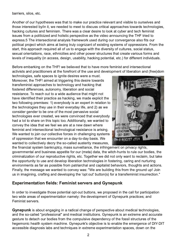?@E96C@7@FC9JA@E96D6DH2DE92EE@> 2<6 @FCAC24E:46 C6=6G2?E2?5 G:D:3=6 E@@FCD6=G6D2?5 E9@D6 :?E6C6DE65 3J :? :E H6 ?66565 E@> 66EE@5:D4FDD4C:E:42=2AAC@2496DE@H2C5DE649?@=@8:6D 924<:?8 4F=EFC6D2?5 76> :?:D> +96C6 H2D2 4=62C56D:C6 E@=@@< 2E4J36C2?5 E649 76> :?:DE  $:$ DDF6D7CQ  $\geq$  2 AQ  $\equiv$  4:K65 2?5 9 Q  $\equiv$  DE4 A6CD 464 EG6 2DE96 G56  $@$ 2?? $@$ F?4:?8 E96 + EC:65 E $@$ 6I AC6DD +96 :?E6CD64E:@?2=2?2=JD:D7C2> 6H@C< FD65 5FC:?8 @FC4@?G6C86?46 2=D@7:ED@FC A@=:E:42=AC@;64EH9:49 2:> D2E36:?8 ECF=J 4@8?:K2?E@76I :DE:?8 DJDE6> D@7@AAC6DD:@?D C@> E96 DE2CEE9:D2AAC@249 C6BF:C65 2=@7FDE@6?8286 H:E9 E96 5:G6CD:EJ @74F=EFC6D D@4:2=DE2EFD D6I F2=@C:6?E2E:@?D C246 6E9?:4:E:6D2?5 @E96CA@H6CDECF4EFC6DE92E4C62E6 G2C:@FD7@C> D2?5 =6G6=D@7:?6BF2=:EJ :? 2446DD 56D:8? FD23:=:EJ 924<:?8 A@E6?E:2= 6E4 7@C5:776C6?E:?5:G:5F2=D

 $67@6$   $6$   $>$   $32$  $<$   $2$   $8$   $@$   $B$  $6$   $+$   $-$  H6  $36$  $=$  $6$  $G$  $5$   $B$  $2$  $E$  $C$  $9$  $2$  $G$  $s$   $>$  $@$  $c$  $S$  $>$  $C$  $D$  $E$  $2$  $S$   $\cdot$ ? $E$  $C$  $D$  $5$  $4$  $E$  $@$  $2$  $=$ 24EGDED2?5 AC24EE@60D2EE96 7@C67C@E@7E96 FD6 2?5 56G6=@A> 6?E@7=:36C2E@7 2?5 7G6 5@ E649?@=@8:6D D276 DA246DE@:8?:E6 56D:C6DH6C6 2 > FDE \$ @C6@G6CE96 + 2:> 65 2EEC:886C:?8 E9:D56D:C6 E@H2C5D EC2?D76> :?:DE2AAC@2496DE@E649?@=@8J 2?5 924<:?8 E92E 7@DE6C55:77666?46D2FE@@J=36QE@2?5D@4:2= C6D:DE2?46 +@C6249 @FEE@2 H:56 2F5:6?46 E92E> :89E?@E 92G6 :56?E765 E96:CAC24E46 2D924<:?8 H6 > 256 6I A=4:EE96 EH@7@=@H:?8 AC6> :D6D 6G6CJ3@5J :D2? 6I A6CE:? C6=2E:@? E@ E96 E649?@=@8:6DE96J FD6 :? E96:C6G6CJ52J =:76 2?5 2DH6 4@?D:56C86?56CE@36 @?6 @7E96 > @DEA6CG2D:G6 D@4:2= E649?@=@8:6D6G6C4C62E65 H6 H6C6 4@?G:?465 E92E6G6CJ3@5J 925 2 =@EE@D92C6 @? E9:DE@A:4 E@@ 55:E:@?2=J H6 H2?E65 E@ 4@?G6J E96 :562 E92EH6 766=H6 2C6 2E2 ?6H 52H? H96C6 76> :?:DE2?5 :?E6CD64E:@?2=E649?@=@8:42=C6D:DE2?46 :D2C:D:?8 . 6 H2?E65 E@;@:? @FC4@=64E:G6 7@C46D:? 492=6?8:?8 DJDE6> D @7@AAGDD@PB2EH6 6?4@F?E6C@2 52J E@52J 32DD. 6 H2?E65 E@4@=64EG6=J 564CJ E96 D@42=65 2FDE6CEJ > 62DFG6D E96 7.?2?4:2=DJDE6> 32?<CFAE4J > 2DDDFCG6:=2?46 E96 :?7C:?86> 6?E@? ACG24J C89ED 8@G6C7> 6?E2=2?5 3FD:?6DD2AA6EE6 7@C@FC > 6E2 52E2 E96 H:E49 9F?EDE@CF=6 @FC3@5:6D E96 4C:> :?2=:K2E:@? @7@FCC6AC@5F4E:G6 C:89ED 6E4 +@86E96CH6 5:5 ?@E@?=J H2?EE@C64=2:> 3FEE2<6 E96 @AA@CEF?:EJ E@FD6 2?5 56G6=@A =:36C2E:@? E649?@=@8:6D:? 7@DE6C:?8 42C:?8 2?5 ?FCEFC:?8 6?GC@>6?ED2D72C2DA@D3=67C@>A2EC2C492=2?542A:E=:DE3692G@DB@F89ED2?524E@D :?2⇒JB96>6DD286H6H2?B65E@4@?G6JH2D . 6 20663F:=5:?8 B9:D7C@>B968C@F?5FA ! @:? FD:? :> 28:?:?8 4Q27E?8 2?5 56G6=@A:?8 E96 @AE@FE3FEE@? D 7@C2 E22?D76> :?:DE:?DFC664E@?

 $=6+7/3$  +49 954,  $\frac{1}{2}$  8 +3 /4/898+7; +78 ' 4\* >4+6: 41

? @C56CE@:?G6DE:82E6 E9@D6 A@E6?E:2=@AE@FE3FEE@?D H6 AC@A@D65 :? E96 42=7@CA2CE:4:A2E:@? EH@H:56 2C62D@76I A6C:> 6?E2E:@? ?2> 6=J E96 56G6=@A> 6?E@7 J?6AF?< AC24E:46D 2?5 6> :?:DED6CG6CD

>4+6: 41 :D23@FE6?828:?8 :? 2 C25:42=492?86 @7A6CDA64E:G6 23@FE> 65:42=E649?@=@8:6D 2?5 E96 D@42=65 AC@76DD.@?2= 2?5 > 65:42=:?DEEFE@D J?6AF?<:D2? 6I EC6> 6 2?5 244FC2E6 86DEFC6 E@56E249 @FC3@5:6D7C@> E96 4@> AF=D:G6 56A6?56?4J @7E96 7@DD:=DECF4EFC6D@7E96 9686>  $@:4962 + 59$  DJDE6> > 249:?6 J?6AF?<D $@:64E@:DE@6?23 + 5966$  6>6 $@86?46$   $@7$  / + 2446DD:3=6 5:28?@DD=23D2?5 E649?:BF6D:? 6I EC6> 6 6I A6C> 6?E2E@ DA246D 5@H? @? E96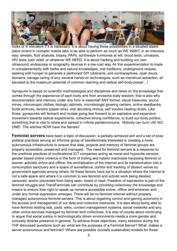

rocks or in elevators if it is necessary. It is about having these possibilities in a situated stable place or/and in nomadic mobile labs to be able to perform as much as WE WANT, in an intensive way: smears, fluid analysis, biopsy, PAPs, synthesize hormones at will, blood tests, urinalysis, HIV tests, pain relief, or whatever WE NEED. It is about hacking and building our own ultrasound, endoscope or ecography devices in a low-cost way. All this experimentation is made in complementarity with herbs and natural knowledges, oral traditions, underground recipes, seeking with hunger to generate a plethoraof DIY lubricants, anti-contraceptives, open doula domains, savage caring of any visceral hands-on technologies, such as menstrual extraction, all elevated to the maximum potential of common learning and radical self-body-power ...!

Gynepunk is based on scientific methodologies and disciplines and relies on the knowledge that comes through the experience of each body and from ancestral body wisdom; that is also why documentation and memory under any form is essential! ANY format: visual treasures, sound mines, microscopic riddles, biologic cabinets, microbiologic growing centers, online seedbanks, fluids archives, fanzine (paper sms), oral decoding chorus, self voodoo healing rituals. Like those, gynepunks will ferment and mutate going fast forward to an explosive and expansive movement towards radical experiments, collective strong confidence, to build our-body politics; something that is vital to share and spread in infinite pandemoniums. Nobody can burn US! NO ONE! The witches NOW have the flames//

**Feminist servers** have been a topic of discussion, a partially-achieved aim and a set of slowpolitical practices among an informal group of transfeminists interested in creating a more autonomous infrastructure to ensure that data, projects and memory of feminist groups are properly accessible, preserved and managed. The need for feminist servers is a response to: the unethical practices of multinational ICT companies acting as moral and hypocrite censors; gender based online violence in the form of trolling and hateful machoists harassing feminist or women activists online and offline; the centralization of the internet and its transformation into a consumption sanctuary and a space of surveillance, control and tracking of dissent voices by government agencies among others. All these factors have led to a situation where the internet is not a safe space and where it is common to see feminist and activist work being deleted. censored, and/or prevented from being seen, heard or read. Freedom of expression is part of the feminist struggle and TransFeminists can contribute by providing collectively the knowledge and means to ensure their right to speak up remains accessible online, offline and wherever and under any format expression emerges. There will be no feminist internet without properly managed autonomous feminist servers. This is about regaining control and gaining autonomy in the access and management of our data and collective memories. It is also about being able to have feminist mailing lists, pads, wikis, content management systems, social networks and any other online services managed by feminist tech collectives. It is also of course about continuing to argue that social justice in technologically driven environments needs a more gender and culturally diverse presence in general. To achieve those objectives, many sessions during the THF discussed questions such as: what are the purposes of a Feminist Server? What makes a server autonomous and feminist? Where are possible (socially sustainable) models for those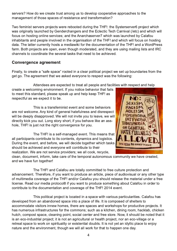## D6CG6CD @H 5@H6 4C62E6 ECFDE2> @?8 FDE@56G6=@A 4@@A6C2E:G6 2AAC@2496DE@E96 > 2?286> 6?E@7B@D6 DA246D@7GDDE2?46 2?5 E2?D7@C> 2E@?

+H@76> :?:DED6CG6CDAC@;64EDH6C6 C63@@E65 5FC:?8 E96 + E96 \* JDE6CD6CG6C AC@;64EH9:49  $H2D@2:?2 \Rightarrow$   $\angle$ F?4965 3J 6?56Q492?86 $\oplus$ 2?5  $\oplus$ 6 4 $\oplus$ 4E4 +649 2C?:G2= 6E4 2?5 H9:49 H:= 7@4FD@? 9@DE:?8 @?=:?6 D6CG:46D 2?5 E96 ?2C492D6CG6C H9:49 H2D=2F?4965 3J 2=27@F :?923:E2?ED2?5 A6@A=6 :?G@=G65 :? E96 @C82?:D2E:@? @7E96 + 2?5 H9:49 H:=7@4FD@? 9@DE:?8 52E2 +96 =2EE6C4FCC6?E=J 9@DED2 > 65:2H:<: 7@CE96 5@4F> 6?E2E:@? @7E96 + [2?](#page-12-0)5 2 . @C5' C6DD  $72C$  @E9 AC@64ED2C6 @A6? 6G6? E9@F89 > @56Q2E65 2?5 E96J 2C6 FD:?8 > 2: $\neq$ :?8  $\neq$ IED2?5 ) 492??6=DE@4@@C5:?2E6 E96 D6G6C2=E2D<DE92E?665 E@36 [2](#page-12-0)49:6G65

 $54$ ;  $+7$ - $+4$ ) +  $-7$ + $+3$   $+49$ 

:?2=J E@4C62E6 2 PD276 DA246QC@@E65 :? 2 4=62CA@=:E:42=AC@;64EH6 D6EFA 3@F?52C:6D7C@> E96 86E8@+96 28C66> 6?EE92EH6 2D<65 6G6CJ@?6 E@C6DA64EH2DE96 7@=@H:?8

EE6?566D2C6 6I A64E65 E@EC62E2=A6@A=6 2?5 724: = E6DH: E9 C6DA64E2?5 96 = A 4G62E6 2 H64@ :?8 6?GQ@?> 6?E 7J@ F?@E46 3692G@CE92E72:=D E@> 66EE9:DDE2?52C5 A=62D6 DA62< FA 2?5 96=A <66A+ 2D C6DA64E7F=2DH6 6I A64E:EE@36

+9:D:D2 E2?D76>:?:DE6G6?E2?5 D@ 6 3692G@D 2C6 ?@EH6=4@> 6 ?J <:?5 @786?6C2=92E67F=?6DD2?5 5:DC6DA64E H:=36 566A=J 5:D2AAC@G65 . 6 H:=?@E:?G:E6 J@F E@=62G6 H6 H:= 5:C64E=J <:4< J@F @FE#@?8 DE@CJ D9@CE:7J@F 3692G6 =:<6 2? 2DD 9 @ 6 + :D;FDE? @EB6 C89E4@?G6C66?46 7@CJ@F

+96 + :D2 D6=7> 2?2865 6G6?E+9:D> 62?DE92E 2=A2CE4:A2?ED4@EC3FE6 E@:ED4@E6?ED 5J?2>:4D2?5 =@8:DE4D FC:?8 E96 6G6?E2?5 367@C6 H6 H:=564:56 E@86E96CH9:49 E2D<D D9@F=5 36 249:6G65 2?5 6G6CJ@6 H:=4@EC3FE6 E@E96:C C62=K2E@ . 6 2C6 ? @ED6CG46 AC@G56CD H6 2=4@@< C64J4=6 4=62? 5@4F> 6?E:?7@C> E2<6 42C6 @7E96 E6> A@C2=2FE@?@> @FD4@> > F?:EJ H6 92G6 4C62E65 2?5 H6 92G6 7F? E@86E96C

+96 + 2?5 2=27@F 2C6 E@E2=J 4@> > :EE65 E@7C66 4F=EFC6 AC@E64E:@? 2?5 25G2?46> 6?E +96G67@C6 :7J@FH2?EE@AC@5F46 2? 20E4+6 A:646 @72F5:@GDF2=@C2?J @B6CEJA6  $@>$  F $\pm$  65:2 4 $@$ 6 $@$ 86  $@$  B $6$  + 2?5  $@$  2 $\neq$ 7 $@$  J $@$  D $@$   $\neq$   $@$   $6$   $\pm$  2D6 B $6$   $>$  2E6C2=F?56C2 7G6 =:46?D6 ) 625 @FC> 65:2 AC@E@4@= :7J@F H2?EE@AC@5F46 D@> 6E9:?8 23@FE 2=27@F :? @C56CE@ 4@?EC:3FE6 E@E96 5@4F> 6?E2E:@? 2?5 4@G6C286 @7E96 + 6G6?E

+9:DA@=:E:42=AC@;64E:D=@42E65 :? 2 DA246 H:E9 G2C:@FDA2CE:4F=2C:E:6D 2=27@F 92D 56G6=@A65 7C@> 2? 232?5@?65 DA246 :?E@2 A=246 @7=:76 E:D4@> A@D65 @7D96=E6CDE@ 244@ > @52E6 GDE@D:??6H 9@ 6D E96C6 2C6 DA246D2?5 H@C<D9@AD7@CAC@5F4EG6 AC@64ED E 92D?F> 6C@FD:?7C2DECF4EFC6D7@CE96 4@> > @?D DF49 2D2 <:E496? 5:?:?8 C@@> 924<=23 49:4<6? 9FE49 4@> A@DEDA246 4=62?:?8 A@:?E D@4:2=46?E6C2?5 7C66 DE@C6 %@H :ED9@F=5 36 ?@E65 E92E:E :D2? 64@:?5FDEC2=AC@64E:E:D?@E2? 28C4F#FC2=@C962#9 AC@64E?@C2? 64@G=286 @C2 C6EC62EDA246 E@H@C< @? DA:C:EF2=:EJ @C6I :DE6?E:2=5@F3ED E:D?@EJ6E2? :5J=:4 A=246 E@6?;@J ?2EFC6 2?5 E96 6?G:C@?> 6?EE9@F89 H6 H:=2=H@C< 7@CE92EE@92AA6? @?6 52J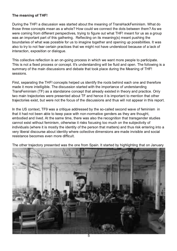$! + 3 + 4/4 - 5, !$ 

FC:?8 E96 + 2 5:D4FDD:@? H2DDE2CE65 23@FEE96 > 62?:?8 @7+C2?D 24< 6> :?:D> . 92E5@ E9@D6 E9C66 4@?46AED> 62? 2D2 H9@=6 @H 4@F=5 H6 4@??64EE96 5@ED36EH66? E96> DH6 H6C6 4@ :?8 7C@ 5:776C6?EA6CDA64EG6D ECJ:?8 E@7:8FC6 @FEH92E+ > 62?E7@CFD2D2 8C@FA  $H2D2?$  :>  $A@D?EA2@B'B:D82B96C?8$  )  $6764E?8@$  :  $D>62??8 D > 62?EAFD9:?8 B6$ 3@F?52C6D@7H92EH2DA@DD3+67@CFDE@:> 28:?6 E@86E96C2?5 @A6?:?8 FA A@DD3:==E6D EH2D 2=D@E@ECJ E@?@E762C46CE2:? AC24E46DE92EH6 > :89E?@E92G6 F?56CDE@@5 3642FD6 @72 =24< @7 :?E6C24E:@? 6I A@D:E:@? @C5:2=@8F6

+9:D4@=64EG6 C67=64E@? :D2? @? 8@:?8 AC@46DD:? H9:49 H6 H2?E> @C6 A6@A=6 E@A2CE4:A2E6 +9:D:D?@E2 7:I 65 AC@46DD@C4@?46AE EDF?56CDE2?5:?8 H:=36 7=F:5 2?5 @A6? +96 7@=@H:?8 :D2 DF> > 2CJ @7E96 > 2:? 5:D4FDD:@D2?5 5632E6 E92EE@@< A=246 5FC:?8 E96 \$ 62?:?8 @7+ D6DD:@?D

:CDE D6A2C2E:?8 E96 + 4@?46AED96=A65 FD:56?E:7J E96 C@@ED369:?5 6249 @?6 2?5 E96C67@C6 > 256 :E> @C6 :?E6=:8:3=6 +96 5:D4FDD:@? DE2CE65 H:E9 E96 :> A@CE2?46 @7F?56CDE2?5:?8 +C2?D 6> :?:D> + 2D2 DE2?52=@?6 4@?46AEE92E2=C625J 6I :DE65 :? E96@CJ 2?5 AC24E:46 &?=J EH@> 2:? EC2;64E@C:6DH6C6 AC6D6?E65 23@FE+ 2?5 96?46 :E:D:> A@CE2?EE@> 6?E:@? E92E@E96C EC2;64E@C:6D6I :DE3FEH6C6 ?@EE96 7@4FD@7E96 5:D4FDD:@?D2?5 E9FDH:=?@E2AA62C:? E9:DC6A@CE

? E96, \* 4@?E6I E+ H2D2 4CEBF6 255 C6DD65 3J E96 D@42=65 D64@?5 H2G6 @776> :?:D> :? E92E:E925 ?@E366? 23=6 E@<66A A246 H:E9 ?@? ?@C> 2E:G6 86?56CD2DE96J 2C6 E9@F89E  $6$  > 3 $@$ :65 2?5  $\pm$  $6$ 5 EB6 D2 > 6 E  $>$  6 B6 $@$  H2D2 $\pm$  $@$ B6 $@$   $@$  $?$ :E $@$  B2EEC2?D86?56CDEF5:6D 42??@E6I:DEH:E9@FE[76](#page-12-0)>:?:D> @E96CH:D6:ECD<D7@4FD?8 E@@>F49 @? E96 DF3:64EGEL @7 :?5:G:5F2=D H96C6 :E:D> @DE=J E96 :56?E:EJ @7E96 A6CD@? E92E> 2EE6CD 2?5 E9FDC:D< 6?E6C:?8 :?E@2 G6CJ =36C2=5:D4@FCD6 23@FE:56?EEJ H96C6 4@=64EG6 5:> 6?D@D2C6 > 256 :?GD3=6 2?5 D@4:2=  $GED$  $E$ ?46 364 $Q$ 8 $D$ 6 $G$ 6? >  $Q$  $G$ 6 5:774F $\pm$ 

+96 @B6CEC2:64E@CJAGGD6?E65 H2DE96 @?6 7C@> \*A2:? EDE2CE65 3J 9:89==89E?8 E92E@?!2?F2CJ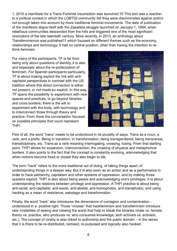$2 > 2$ ?:76DE@7@C2 + (2?D 6>:?:DE:?DFCC64E@ H2D=2F?4965 +9:DE6I EH2D2 C624E@ E@2 A@=E42=4@?E6I E:? H9:49 E96 # + ( 4@ > F?: EJ 76 = E96J H6 C6 5:D4 C : ? 2E65 282:?DE2?5 @C ?@E6?@F89B<6?:?E@244@F?E3J>@G6E25:E@?=76>:?:DE>@G6>6?ED+9652E6@7AF3=42E@?  $@7B6 > 2$ ?:76DE $@2 \div 8$ ?D:ED6 $\overline{5}$ H:B Be 02A2EDE2 DECF88 $\div 6$   $\div$ 2.7F2CJ H96?  $C636 \rightleftharpoons CFD4@> F$ ?:E6D56D46?565 7CQ E96 9: $\rightleftharpoons$  2?5 EC886C65 @?6 [@7E9](#page-12-0)6 > @DED8?:742?E C6G@=FE@D@7E96 2E6 EH6?E6E9 46?EFCJ \$ @C6 C646?E=J :? 2? 2?E9@=@8J 23@FE +C2?D76> :?:D> @DH2DAF3=:D965 H9:49 7@4FD65 @? 5:776C6?EE96> 6DDF49 2DE96 64@?@> J  $C_6$ =2E@D9:AD2?5 E649?@=@8J E925 ?@46?E2=A@DE@?@96CE92? 92G?8 E96 :?E6?E@? E@C6  $E9.2 < B5.2$ 

@C> 2?J @7E96 A2CE:4:A2?ED + :D72C7C@> 36:?8 @=J 23 @FEBF6DE@D @7:56?EEJ :E:D2=D@ 2?5 6DA64:2= 23@FEE96 C6 A@E4:K2E@? @7  $76 > ?:D$   $QC^*$  A2?:D9 A2CE4:A2?EDA2CE4F=2C=J + :D23@FE> 2<:?8 6I A=4:EE96 =:?< H:E9 2?E 42A:E2=DEA6CDA64EG6D:? 4@R2DEH:B9B6, \* E25:E@ H96G B:D5:G4E4@?64E@ :D6:B6C ? @EAC6D6?E @C? @E> 256 D@6IA=4:E ? E9:DH2J + @A6?DE96 A@DD:3:=:EJ E@6I A6C:> 6?EH:E9 ?6H DA246D2?5 AC24E46D E@8@36J@?5 3:?2C6D 2?5 4C@DD3@C56CD E96C6 :DE96 H:=E@ 6I A6C:> 6?EH:E9 E96 3@5J H:E9 E649?@=@8J 2?5 E@:?E6C4@??64EE9@D6 E9C@F89 E96@CJ 2?5 AC24E46 CO2 E9606 E96 4@?G6CD2E@? 7@4FD65 @? A @ D D 3=6 AC ?4: A = 6 D B 2 E 4 @ F = 6 G A C6 D 6 ? E +

:CDE@72= E96 H@C5 PEC2?DQ?665DE@36 F?56CDE@@5 :? :EDA=FC2=:EJ @7H2JD +C2?D2D2 ?@F? 2 G6C3 2?5 2 AC67.I 6:?8 :? EC2?DE@ :? EC2?D7@C> 2E@ 36:?8 EC2?D86?56C65 36:?8 EC2?DG6CD2= EC2?D5:4:A=:?2CJ 6E4 +C2?D2D2 G6C3 > 62?:?8 :?E6CC@82E:?8 4C@DD:?8 7FD:?8 C@> E92EDE2CE:?8 A@:?E+ 2=@HD7@C6IA2:D@: :?E6G@:?64E@ B640@DD:8 @7A9JD42=2:5 > 6EA9@C42= 3@C56CD E2=D@A@:?EDE@E96 724EE92EE96 4@?46AE:D4@?DE2?E=J 6G@=G:?8 24<?@H=658:?8 E92E H96? ? @E@?D364@ 6 7.1 65 @C4=@D65 E96J 2=D@368:? E@5:6

+96 E6C> P924<QC676CDE@E96 > @C6 EC25:E:@?2=24E@75@:?8 @7E2<:?8 E9:?8D2A2CE@7 F?56CDE2?5:?8 B:?8D:? 2 566A6CH2J FE:E:D2=D@D66? 2D2? 24E@ 2?5 2D2 A6O7@S 2?46 :? @C56CE@924<A2EC2Q9J42A:E2=D>2?5 @B6CDJDE6>D@7@AAGDD@72?53J>2<?8 B@D6 DJDE6> D6I A=4:E + :D2=D@23@FE36:?8 2H2C6 2?5 24<?@H=658:?8 @?6 DACG=686D E:D23@FE F?56CDE2?5:?8 B6 C6=2E@D36EH66? ACG=686 2?5 @AAGDD@ + AC24E46 :D23@FE36:?8 2?E: C24:DE2?E: 42A: E2=:DE2?E: D6I: DE2?E: 236=DE2?E: 9@> @A9@3:4 2?E: EC2?DA9@3:4 2?5 FD:?8 924<:?8 2D2 > 62? @7GDD2:?46 D23@286 2?5 E2?D7@S 2E@?

:?2=J E96 H@C5 P924<Q2=D@:?EC@5F46DE96 5:> 6?D:@?D@74@?E28:@? 2?5 4@?E2> :?2E:@? F?56CDE@ 5:? 2 A@DEG6 =:89E +9@D6 FGGFD6DQE924<76> :?:D> 2?5 E2?D76> :?:D> :?E@6F46 ?6H > @52==E6D@7D66:?8 2?5 G6H:?8 E96 H@ S=5 E92E96=A E@3062< E96 3:?2C6D > 2=6 GD 76> 2=6 E96@CJ GD AC24E:46 H9@AC@5F46DGD H9@4@?DF> 6D<?@H=6586 E649 24E:G:DEDGD 24E:G:DED 6E4 +96 4@?46AE@7GQ:==EJ:D2=D@=:?<65 E@2FE9@D0:A 2?5 E96 AF3=:4 5@> 2:? O:? E96 D6?D6 E92E:E:DE96C6 E@36 C6 5:DEC:3FE65 C6> :I 65 C6 AFCA@D65 2?5 =@8:42=J 2=D@924<65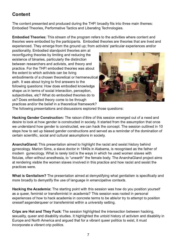## Content

The content presented and produced during the THF! broadly fits into three main themes: Embodied Theories, Performative Tactics and Liberating Technologies.

Embodied Theories: This stream of the program refers to the activities where content and theories were embodied by the participants. Embodied theories are theories that are lived and experienced. They emerge from the ground up; from activists' particular experiences and/or

positionality. Embodied standpoint theories aim at reconfiguring theories by limiting and reducing the existence of binaries, particularly the distinction between researchers and activists, and theory and practice. For the THF! embodied theories was about the extent to which activists can be living embodiments of a chosen theoretical or hermeneutical path. It was about trying to find answers to the following questions: How does embodied knowledge shape us in terms of social interaction, perception, subjectivities, etc? What do embodied theories do to us? Does embodied theory come to be through practices and/or the belief in a theoretical framework?



The following presentations and discussions explored those questions:

Hacking Gender Construction: The raison d'être of this session emerged out of a need and desire to look at how gender is constructed in society. It started from the assumption that once we understand how gender is constructed, we can hack the concept. The session outlined in 10 steps how to set up biased gender constructions and served as a reminder of the domination of certain scientific, social and cultural assumptions in society.

Anarcha Gland: This presentation aimed to highlight the racist and sexist history behind gynecology. Marion Sims, a slave doctor in 1840s in Alabama, is recognised as the father of modern gynecology. What is rarely told is the ways in which he used women slaves with fistulas, often without anesthesia, to "unearth" the female body. The AnarchaGland project aims at rendering visible the women slaves involved in this practice and how racist and sexist the practices were.

What is Genitalism? The presentation aimed at demystifying what genitalism is specifically and more broadly to demystify the use of language in emancipative contexts.

Hacking the Academia: The starting point with this session was how do you position yourself as a queer, feminist or transfeminist in academia? This session was rooted in personal experiences of how to hack academia in concrete terms to be able/or try to attempt to position oneself asgendergueer or transfeminist within a university setting.

Crips are Hot and They Fuck: The session highlighted the intersection between hacking. sexuality, queer and disability studies. It highlighted the untold history of activism and disability in Europe and North America and arqued that for a vibrant queer politics to exist, it must incorporate a vibrant crip politics.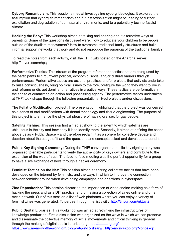>( 57- 53 ' 49/) /83 +9:DD6DD:@? 2:> 65 2E:?G6DE:82E:?8 4J3@C8 :56@=@8:6D E6I A=@C65 E96 2DDF> AE@ E92E4J3@C8:2? C@ 2?E4:D> 2?5 FEFCDE76ED9:K2E@ > :89E36 \$25:?8 E@FCE96C 6I A=@:E2E:@? 2?5 568C252E:@? @7@FC?2EFC2=6?G:C@?> 6?ED 2?5 E@2 A@E6?E:2=J E649?@72D4:DE  $4 \Rightarrow 2E6$ 

')1/4-9+''(>+9:DH@GD9@A2:>652EB=<:?82?5D92C?823@FE2±6C72EG6H2JD@7 A2C6?E?8 \* @ 6 @7E96 BF6DE@D5:D4FDD65 H6C6 @H E@65F42E6 J@FC49:=5C6? E@36 A6@A=6  $QFED56 QTBO5F2=D > 2? HQ22?$   $QH EQQG6QCQ66 EQ25EQQ2=Z > 1.5$   $DEF4EF(GD2253F15)$ :?7@C> 2=DFAA@CE?6EH@C<DE92EH@C< 2?5 5@?@EC6AC@5F46 E96 A2C2?@:2 @7E96 EC25:E:@?2=72> :=J

+@C625 E96 ?@E6D7C@> 6249 24EGEJ GDE E96 + H:<: 9@DE65 @? E96 ?2C492 D6CG6C 9EEA E?JFG-4@ ?9ADEA

+7,573 ' 9/; + ! ' ) 9/) 8 +9:DDEC62> @7E96 AC@8C2> C676CDE@E96 E24E:4DE92E2C6 36:?8 FD65 3J E96 A2CE4:A2?EDE@4:Q4F> G6?EA@=E42= 64@?@>:4 D@4:2=2?5 @C4F=ETC2=32CC6CDE9C@F89 A6C7@C> 2?46D ' 6C7@C> 2E:G6 E24E:4D2C6 24E:@?D AC24E:46D2?5 @CAC@;64EDE92E24E:G:DEDF?56CE2<6 E@C2:D6 4@?D4:@FD?6DD 3C:?8 A@=E42=:DDF6DE@E96 7@C6 AC67:8FC6 E96 H@E5 E96J H2?EE@=:G6 :? 2?5 G67C2> 6 QC5:DOFAE5 @ :?2?E?2CC2EG6D:? 4G62EG6 H2JD +96D6 E24E4D2C6 A6C7QCS 2EG6 :? E96 D6?D6 @74@ > :EE?8 2? 24E@ 2?5 A@D6DD.?8 286?4J +96 A607@C> 2EG6 E24E4DF?56CE<6? 2E+ E@@< D92A6 E9C@F89 E96 7@=@H:?8 AC6D6?E2E:@?D =:G65 AC@;64ED2?5 @C5:D4FDD:@?D

 $!$  . +  $+2$  95  $5$   $!/$ , $/$ ) ' 954 6750+) 9 +96 AC6D6?E2E@ 9:89 $\div$ 89E65 E92EE96 AC@64EH2D4@?46:G65 2D2 D6C6D@7@C2=> @5:742E@DH:E9 56?E2=E649?@=@8J 2?5 EDDF6 6?8:?66C?8 +96 AFCA@D6 @7 E9:DAC@;64E:DE@6?92?46 E96 A9JD:42=A=62DFC6 @792G:?8 @C2=D6I 7@C82J A6@A=6

' 9+22/9+ /8. /4- +9:DD6DD.@/7:CDE2:> 65 2ED9.@H:?8 E96 6IE6?EE@H9:49 D2.16====BD2.06 F3:BF:E@FD:? E96 D<J 2?5 9@H 62DJ :E:DE@:56?E:7J E96> \* 64@?5=J :E2:> 65 2E567:?:?8 E96 DA246 23@G6 FD2DM' F3=4 \* A246 N2?5 B6G67@G64=2:> :E2D2 DA96G67@C4@=64EG6 5632E6 2?5 564:D:@? 23@FEE96 FD286 @7:E2?5 E96 BF6DE:@?D2?5 4@?46AED2D<65 2?5 56G6=@A65 2C@F?5 :E

: ( 2)  $\leftrightarrow$  /-4/4-  $+7+3$  54 > FC?8 E96 + 4@?G6688?46 2 AF3 $\neq$ 4 <6J D8?:?8 A20EJ H2D @C\$2?:K65 E@6?23+6 A2QE4:A2?EDE@G6C7JB96 2FB96?E4:EJ @7<6JD@H?6QD2?5 4@?EC3FE6 E@B96 6I A2?D@? @7E96 H63 @7EFDE +96 7246 E@7246 > 66E?8 H2DE96 A6O764E@AA@LF?:EJ 7@C2 8O@FA E@92G6 2 =:G6 6I 492?86 @7<6JDE9C@F89 2 924<6C46C6> @?J

+3 /4/89! ' ) 9) 8 54 9 + +9 +9:DD6DD@ 2:> 65 2ED92C?8 4@+64EG6 E24E4DE92E92G6 366? 56G6=@A65 @? E96 :?E6C?6E3J 76> :?:DED 2?5 E96 H2JD:? H9:49 E@:> AC@G6 E96 4@??64E:@? 36EH66? 76> :?:DE8C@FADH96? 56G6=@A:?8 42> A2:8?D2?5 @C24E:@?D:? 4J36CDA246

%4+ +658/957/+8 +9:DD6DD@ 5:D4FDD65 B6 :> A@D2?46 @7K:?6D2?5:?6 > 2<:?8 2D2 7@C> @7 924<:?8 E96 AC6DD2?5 2D2 + AC24E:46 2?5 @792G:?8 2 4@=64E:@? @7K:?6D@?=:?6 2?5 @? 2  $> 6D9$  ?6 $H$ @ $c$  & FE@7B:DD6DD@ 2 = DE@7H63 A=2F@CSD DH96C6 J@F 42? 6?;@J 2 G2C6EJ @7 76> :?:DEK:?6DH2D86?6Q2E65 +@A6CFD6 E9C@F89 E96 = DEGDE 9EEA E:?JFG=4@> ?< EFJE

: ( 2)  $/$ - $/9$  2  $/$ ( 7 7/+8 +9:DH@cD9@A H2D2:> 65 2EGB9:?<:?8 E96 :?7QDEF4FGD@7 <?@H=6586 AC@5F4E:@? :CDE2 5:D4FDD:@? H2D@C82?:K65 @? E96 H2JD:? H9:49 H6 42? AC6D6CG6 2?5 5:DD6> :?2E6 E96 4@=64EG6 > 6> @CJ @7D@4:2=> @G6> 6?E02?5 4CE42=E9:?<:?8 :? 86?6Q=  $B$ 0 $E$ F89  $B$ 6 > 2<:?8  $Q$ 75:8: $E = AF3 \neq 3$ C206D 6 8  $9$  $E$ A 2222203  $Q$ 8  $9EAD$   $HHH > 6$   $2$   $QQ$   $QQCD$   $QCDG$   $QCDG$   $QCDG$   $QCDG$   $QCDG$   $QCDG$   $QCDG$   $QCDG$   $QCDG$   $QCDG$   $QCDG$   $QCDG$   $QCDG$   $QCDG$   $QCDG$   $QCDG$   $QCDG$   $QCDG$   $QCDG$   $QCDG$   $QCDG$   $QCDG$   $QCDG$   $QCDG$   $QCDG$   $QCDG$   $QCDG$   $QCDG$   $QCDG$   $QCDG$   $QCDG$   $QCDG$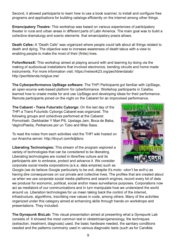\* 64@?5 :E2=@H65 A2CE:4:A2?EDE@=62C? 9@H E@FD6 2 3@@< D42??6CE@:?DE2=2?5 4@?7:8FC6 7C66 AC@8C2> D2?5 2AA=:42E:@?D7@C3F:=5:?8 42E2=@8D677:4:6?E=J @? E96 :?E6C?6E2> @?8 @E96CE9:?8D

3 ' 4) /6' 957> ! . +' 97+ +9:DH@C<D9@A H2D32D65 @? G2C:@FD6I A6C:6?46D@7A2CE:4:A2E@CJ  $B62BC$ ?  $FC=2$ ?5 FC32? 2C62D:? 5:776C6?EA2OED  $Q7#2E$ ? > 6C42 +96 > 2:? 8 $Q2=H2DEQ3F=52$ 4@=64E:G6 5C2> 2EFC8J 2?5 D46?:4 6=6> 6?ED E92E6> 2?4:A2E@CJ AC2I :D2=@HD

+' 9. ' ,+8 P 62E9 276QH2D@C82?:K65 H96C6 A6@A=6 4@F=5 E2=< 23@FE2=E9:?8DC6=2E65 E@ 562E9 2?5 5J:?8 +96 @3;64EG6 H2DE@:?4C62D6 2H2C6?6DD @7562E9 E23FDH:E9 2 G6H E@  $6$ ?23 $\div$ ?8 A6@A 6 E@ $>$  2<6 Be $5$  > @DE@7BeC 7?:E6  $\div$ G6D

52254 5/8+\$ +9:DH@C=D9@A 2:> 65 2EA=2J:?8 2C@F?5 H:E9 2?5  $\pm$  2C :?8 3J 5@ ?8 G2 E96 > 2<:?8 @72F5:@G:DF2=:?DE2=2E:@?DE92E:?G@=G65 6=64EC@?:4D 36?5:?8 4:C4F:ED2?5 9@> 6 > 256 :?DECF> 6?ED @C> @C6 :?7@C> 2E:@? G:D:E9EEAD ?6EH@C< @C8 [A6493=6?52=23](https://network23.org/pechblendalab/)  $9 \text{ I} \text{E}$  A6493 $\text{=}$  6?52  $9 \text{ } \text{E} \text{E}$  = 6

 $!$  . + > (+76+7,573 '4) + " 6 9 - + 85,  $9$  ' 7+ + 96 + ' 20 $24$ :A2?ED80 $\epsilon$ Z $>$  : $\neq$ CH:E9, A\* E286 2? @A6? D@FQ46 H63 32D65 A=2E7@C> 7@C4J36O7@C> 2?46 . @C<D9@A A2OE4:A2?ED:? 2=27@F =62C?65 9@H E@4C62E6 > 65:2 7@C2?5 FD6 , A\* E286 2?5 56G6=@A:?8 :562D7@CE96:CA6C7@C> 2?46 ) 6> @E6 A2CE:4:A2?ED;@:?65 @? E96 ?:89E@? E96 232C6E7@C2? :> AC@G:D65 A6C7@C> 2?46

 $!$  . +  $'$  (  $'$  7+9  $!$  7' 48 : 9.7/89) > (57-8 &? E96  $\neq$ DE52J @7E96 + 2 + (2?D FHF CDE4 J3@CBD 232 C6EH2D @C622?:K65 +96 7@=@H:?8 8C@FAD2?5 4@=64E:G6DA6C7@C> 65 2EE96 232C6E ' @12°@E2D9 2G<32:56C/\$2C':≑, ADE286 ! 2> @42 56 232 - 28:?@' =2DE:2 ' 6C<2?46DA@CF? +F3@2?5 \$ :DD\* 2D2

+@C625 E96 ?@E6D7C@> 6249 24EGE6DGDEE96 + H:<: 9@DE65 @? @FC ?2C492 D6CG6C 9EEA [E:?JFC=4@>](http://tinyurl.com/kdjdsnz) <5;5D?K

 $/( +7)$  94- ! +) . 4525- /+8 +9:DDEC62> @7E96 AC@8C2> 6I A=@C65 2 G2C6EL @7E649?@@8:6DE92E42? 36 4@D56C65 E@36 =36C2E?8 #:36QE?8 E649?@=@8:6D2C6 C@@E65 :? =:3C6 7C66 4F=EFC6 2?5 :ED A2CE4:A2?ED2:> E@6> 3C246 AC@E64E2?5 25G2?46 :E. 6 4@D56C 4@CA@C2E6 D@4:2=> 65:2 4@CA@C2E:@?D 2 < 2 52E2 6> A:C6D DF49 2D

@@8=6 H6 5@36==6G6 @@8=6 A2CE4F=2C=J E@36 6G= 56DA:E6 :ED> @E@M5@?RE36 6G=N 2D 92G?8 5:C6 4@?D6BF6?46D@? @FCACG2E6 2?5 4@=64EG6 =:G6D +96 AC@7:=6DE92E2C6 4C62E65 23@FE FDH96? H6 FD6 4@ A@ 2E6 D@4:2=> 65:2 A=2E7@C> D2?5 D62 G4 9 6?8:?6D C64 @ 56 G6 G3: E@752E2 H6 AC@5F46 7@C64@?@> :4 A@=:E:42= D@4:2=2?5 @C> 2DDDFCG6:=2?46 AFCA@D6D @CA@C2E:@?D?@H 24E2D> 65:2E@CD@7@FC4@> > F?:42E:@?D2?5 :? EFC? > 2?:AF=2E6 9@H H6 F?56CDE2?5 E96 H@C=5 200 FO #:3602E@? E49?@#8:6D7@CFD> 62? B<?8 324< E96 4@R\$#@7E96 :?E6C6E :?7C2DECF4EFC6 2=8@C:E9> D :?D4C:3:?8 ?6H G2=F6D:? 4@56 2> @?8 @E96CD \$ 2?J @7E96 24E:G:E:6D @C82?:K65 F?56CE9:D42E68@CJ 2:> 65 2E6?92?4:?8 D<:=DE9C@F89 92?5D@? H@C<D9@AD2?5 AC6D6?E2E@D +96J:?4 + 565

 $!$ , +  $>$ 4+6; 41 /5  $'$  (  $+$ 9:DGDF2=AC6D6?E2E@ 2: $>$  65 2EAC6D6?E?8 H92E2 J?6AF?<#23 4@?D:DED@7 ED9@H65 E96 > @DE4@> > @? E6DE:? @3DE6EC:4:2? 86?64@=@8J E96 E649?:BF6D 6IEC24E@? EC62E> 6?E5:28?@DDFD65 E96 32D4 92C5H2C6 ?66565 E96 D2?:E2CJ 4@?5:E@?D ?66565 2?5 B 6 A 2 EB CO D 4 @ > @ = FD 65 : ? G 2 C @ FD 5:28? @ D E49 D F49 2D 7 @ 2?5:52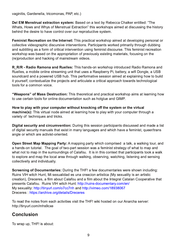G28:?:ED 2G56?6=2 EC4@ @2D ' ' 6E4

+2 +4897: ' 2+=97' ) 954 8>89+3 2D65 @? 2 E6I E3J ) 636442 92 <606?EE 65 P+96 . 92ED @HD2?5 . 9JD@7\$ 6?DEEF2= IEC24E@?QE9:DH@GD9@AD2:> 65 2E5:D4FDD:?8 E96 9:DE@CJ 369:?5 E96 56DG E@92G6 4@RQ4@G6C@FCG6AC@5F4EG6 DJDE6>

 $+3$  /4/89  $+$ ) 7+' 954 54 9 + 49+74+9 +9:DAC24E42=H@RSD9@A 2:> 65 2E56G6=@A:?8 A6CD@2=@C 4@=64EG6 G56@8Q2A9:4 5:D4FCDG6 :?E6CG6?E@D ' 2CE4:A2?EDH@C65 AC 2C=J E9C@F89 5F33:?8 2?5 DF3EE:?8 2D2 7@C> @74CE42=:?E6CG6?E@? FD:?8 76>:?:DE5:D4@FCD6 +9:D76>:?:DEC64C62E@? H@C<D9@A H2D32D65 @? E96 2AAC@AC:2E:@? @7AC6G:@FD=J 6I :DE:?8 > 2E6C:2=D 7@4FD:?8 @? E96 C6 AC@5F4E@ 2?5 924<:?8 @ > 2:?DE62> G56 @D

& ' \* /5 ' 3 54' ' 4\* : +22+8 +9:D92?5D@? H@C<D9@A :?EC@5F465 ) 25:@) 2> @?2 2?5 )  $F6 = 6D$  2 >  $@:6$   $@:76$  DE62 > :?8 F?:EE92EFD6D2 ) 2DA36 $@:$ ' : 32EEGJ 2 H:7:  $@8:6$  2, \* DOF?542C5 2?5 2 AQH6C65, \* 9F3 +9:DA6O7QCS 2EG6 D6DD.@ 2:> 65 2E6I A=2:?:?8 9 QH E@3F:=5 :EJ@FOD6=7 4@?E6I EF2=;K6 E96 AC@64ED2?5 20E4F=2E6 2 4CE42=2AAC@249 E@H2C5DE649?@=@8:42=  $E@QD7@C24@>Q.$   $QQC@46$ 

A# +' 6548B5, '88 +897: ) 954 +9:DE96@C6E42=2?5 AC24E42=H@CcD9@A 2:> D2E=62C?:?8 9@H E@FD6 46CE2:? E@@=D7@C@?=:?6 5@4F> 6?E2E:@? DF49 2D9@E8=F6 2?5 \$ '

 $5 < 95$  62  $> < 19$   $> 5$ : 7) 53 6:  $9 + 7 < 19$  5: 9145) 1/4- 5,, 9 + 8 $> 89 + 3$  579 + ;  $79$  ' 2 3 '). /4+ 8 + 9:DGCEF2=? @56 2:> 65 2E=62C?:?8 9 @H E@A=2J H:E9 J @FC4 @> AFE6CE9C@F89 2 G2C6EJ @7 E649?:BF6D2?5 EC4<D

/- /9' 28+) : 7/9> ' 4\* ) /7) : 3 ; +49/54 FC:?8 B:DD6DD@ A2CE4:A2?ED5:D4FDD65 2?5 > 256 2 =:DE @75:8:E2=D64FCEJ > 2?F2=DE92E6I:DE:? > 2?J =2?8F286D2?5 H9:49 92G6 2 76>:?:DEBF66CEC2?D 2?8 $\text{\textsterling}$  @CH9:49 2G6 24EGDE@C6?E65

6+4  $97++9$  '6 '66/4- '73> > 2AA:?8 A2CEJ H9:49 4 $\circledast$  ACD65 2  $\Xi \lt \approx 2$  H2 $\lt \lt$ :?8 EQFC 2?5 2 92?5D@? EFE@C:2= +96 8@2=@7EH@A2CED6DD:@? H2D2 76> :?:DEDEC2E68J @7H92EE@> 2A 2?5 H92E?@EE@> 2A:? E96 DFCC@F?5:?8D @7 2=27@F E:D:? E9:D4@?E6I EE92EA2CE4:A2?EDE@@x 2 H2=< E@6I A=@C6 2?5 > 2A E96 =@42=2C62 E9C@F89 H2=<:?8 @3D6CG:?8 H2E49:?8 =:DE6?:?8 2?5 D6?D:?8  $4@64E@42?5$ :  $?5:G5F2 \rightleftharpoons$ 

) 7++4/4- 5, 5) : 3 +49' 7/+8 FC:?8 E96 + 2 76H 5@4F> 6?E2C:6DH6C6 D9@H? :?4=F5:?8 ) F:?D- H:E49 F?E \$: D6I F2=:525 6DF?2 40624:@? 20EDE42 \$ J D6I F2=: EJ :D2? 20EDE4 4G2E@ G46GD 2 7:⇒ 23 @FE 2=27 @F 2?5 2 7:⇒ 23 @FEB6 ?E68C2= 2E=2? @@A6C2EG6 B2E AC6D6?ED 2-27@F ) F:?D- H:E49 F?E9EEA [CF:?D5@4F>](http://ruins-documentary.com/en/)6?E2CJ4@-6? \$ J D6I F2=: ED 9 EEA E?JFG=4@ @44 ?9 2?5 9 EEA G > 6 @4@ C646C6D 9EEAD 2C49:G6 @C8 56E2:=D [C646C6D](https://archive.org/details/Dreceres)

+@C625 E96 ?@ED7C@> 6249 24EGE6DGDEE96 + H:<: 9@DE65 @? @FC ?2C492 D6CG6C  $9E\text{R}$  E?JFG=4 $\textcircled{a}$  > 9D 4I 6

54) 2: 8/54

+@HC2A FA + :D23@FE